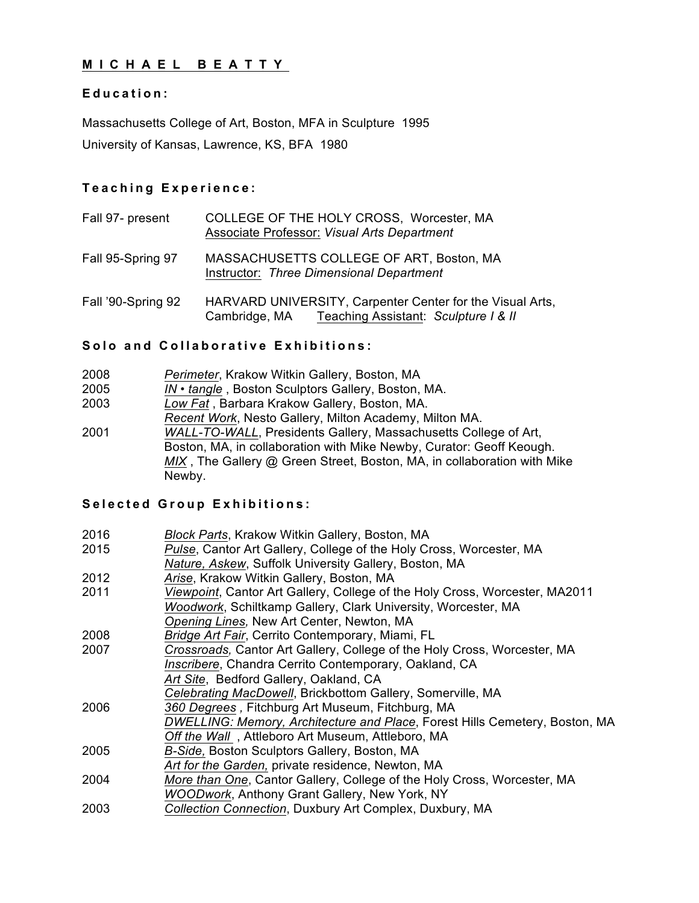## **MICHAEL BEATTY**

#### **Education:**

Massachusetts College of Art, Boston, MFA in Sculpture 1995 University of Kansas, Lawrence, KS, BFA 1980

### **Teaching Experience:**

| Fall 97- present   | COLLEGE OF THE HOLY CROSS, Worcester, MA<br>Associate Professor: Visual Arts Department                         |
|--------------------|-----------------------------------------------------------------------------------------------------------------|
| Fall 95-Spring 97  | MASSACHUSETTS COLLEGE OF ART, Boston, MA<br>Instructor: Three Dimensional Department                            |
| Fall '90-Spring 92 | HARVARD UNIVERSITY, Carpenter Center for the Visual Arts,<br>Cambridge, MA Teaching Assistant: Sculpture I & II |

### **Solo and Collaborative Exhibitions:**

| 2008 | Perimeter, Krakow Witkin Gallery, Boston, MA                            |
|------|-------------------------------------------------------------------------|
| 2005 | IN • tangle, Boston Sculptors Gallery, Boston, MA.                      |
| 2003 | Low Fat, Barbara Krakow Gallery, Boston, MA.                            |
|      | Recent Work, Nesto Gallery, Milton Academy, Milton MA.                  |
| 2001 | WALL-TO-WALL, Presidents Gallery, Massachusetts College of Art,         |
|      | Boston, MA, in collaboration with Mike Newby, Curator: Geoff Keough.    |
|      | MIX, The Gallery @ Green Street, Boston, MA, in collaboration with Mike |
|      | Newby.                                                                  |

## **Selected Group Exhibitions:**

| 2016 | Block Parts, Krakow Witkin Gallery, Boston, MA                              |
|------|-----------------------------------------------------------------------------|
| 2015 | Pulse, Cantor Art Gallery, College of the Holy Cross, Worcester, MA         |
|      | Nature, Askew, Suffolk University Gallery, Boston, MA                       |
| 2012 | Arise, Krakow Witkin Gallery, Boston, MA                                    |
| 2011 | Viewpoint, Cantor Art Gallery, College of the Holy Cross, Worcester, MA2011 |
|      | Woodwork, Schiltkamp Gallery, Clark University, Worcester, MA               |
|      | Opening Lines, New Art Center, Newton, MA                                   |
| 2008 | Bridge Art Fair, Cerrito Contemporary, Miami, FL                            |
| 2007 | Crossroads, Cantor Art Gallery, College of the Holy Cross, Worcester, MA    |
|      | Inscribere, Chandra Cerrito Contemporary, Oakland, CA                       |
|      | Art Site, Bedford Gallery, Oakland, CA                                      |
|      | Celebrating MacDowell, Brickbottom Gallery, Somerville, MA                  |
| 2006 | 360 Degrees, Fitchburg Art Museum, Fitchburg, MA                            |
|      | DWELLING: Memory, Architecture and Place, Forest Hills Cemetery, Boston, MA |
|      | Off the Wall, Attleboro Art Museum, Attleboro, MA                           |
| 2005 | B-Side, Boston Sculptors Gallery, Boston, MA                                |
|      | Art for the Garden, private residence, Newton, MA                           |
| 2004 | More than One, Cantor Gallery, College of the Holy Cross, Worcester, MA     |
|      | WOODwork, Anthony Grant Gallery, New York, NY                               |
| 2003 | Collection Connection, Duxbury Art Complex, Duxbury, MA                     |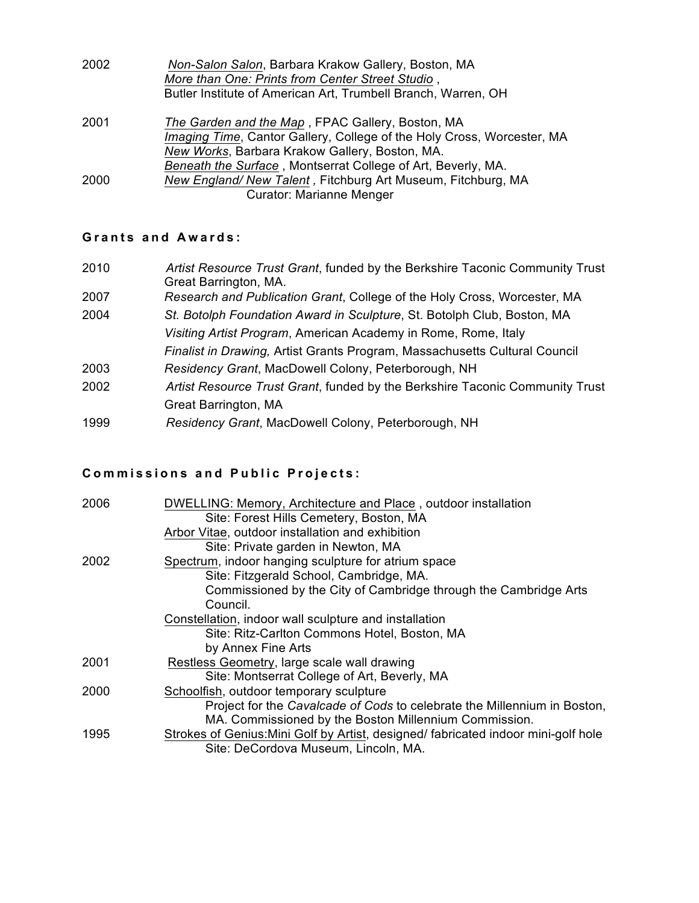| 2002 | Non-Salon Salon, Barbara Krakow Gallery, Boston, MA                    |  |
|------|------------------------------------------------------------------------|--|
|      | More than One: Prints from Center Street Studio,                       |  |
|      | Butler Institute of American Art, Trumbell Branch, Warren, OH          |  |
| 2001 | The Garden and the Map, FPAC Gallery, Boston, MA                       |  |
|      | Imaging Time, Cantor Gallery, College of the Holy Cross, Worcester, MA |  |
|      | New Works, Barbara Krakow Gallery, Boston, MA.                         |  |
|      | Beneath the Surface, Montserrat College of Art, Beverly, MA.           |  |
| 2000 | New England/New Talent, Fitchburg Art Museum, Fitchburg, MA            |  |
|      | <b>Curator: Marianne Menger</b>                                        |  |

## **Grants and Awards :**

| 2010<br>Great Barrington, MA.                                  | Artist Resource Trust Grant, funded by the Berkshire Taconic Community Trust |
|----------------------------------------------------------------|------------------------------------------------------------------------------|
| 2007                                                           | Research and Publication Grant, College of the Holy Cross, Worcester, MA     |
| 2004                                                           | St. Botolph Foundation Award in Sculpture, St. Botolph Club, Boston, MA      |
| Visiting Artist Program, American Academy in Rome, Rome, Italy |                                                                              |
|                                                                | Finalist in Drawing, Artist Grants Program, Massachusetts Cultural Council   |
| Residency Grant, MacDowell Colony, Peterborough, NH<br>2003    |                                                                              |
| 2002                                                           | Artist Resource Trust Grant, funded by the Berkshire Taconic Community Trust |
| Great Barrington, MA                                           |                                                                              |
| Residency Grant, MacDowell Colony, Peterborough, NH<br>1999    |                                                                              |

# **Commissions and Public Projects :**

| 2006 | DWELLING: Memory, Architecture and Place, outdoor installation                    |
|------|-----------------------------------------------------------------------------------|
|      | Site: Forest Hills Cemetery, Boston, MA                                           |
|      | Arbor Vitae, outdoor installation and exhibition                                  |
|      | Site: Private garden in Newton, MA                                                |
| 2002 | Spectrum, indoor hanging sculpture for atrium space                               |
|      | Site: Fitzgerald School, Cambridge, MA.                                           |
|      | Commissioned by the City of Cambridge through the Cambridge Arts                  |
|      | Council.                                                                          |
|      | Constellation, indoor wall sculpture and installation                             |
|      | Site: Ritz-Carlton Commons Hotel, Boston, MA                                      |
|      | by Annex Fine Arts                                                                |
| 2001 | Restless Geometry, large scale wall drawing                                       |
|      | Site: Montserrat College of Art, Beverly, MA                                      |
| 2000 | Schoolfish, outdoor temporary sculpture                                           |
|      | Project for the Cavalcade of Cods to celebrate the Millennium in Boston,          |
|      | MA. Commissioned by the Boston Millennium Commission.                             |
| 1995 | Strokes of Genius: Mini Golf by Artist, designed/fabricated indoor mini-golf hole |
|      | Site: DeCordova Museum, Lincoln, MA.                                              |